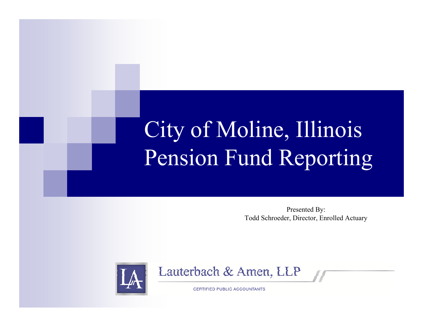# City of Moline, Illinois Pension Fund Reporting

Presented By: Todd Schroeder, Director, Enrolled Actuary





**CERTIFIED PUBLIC ACCOUNTANTS**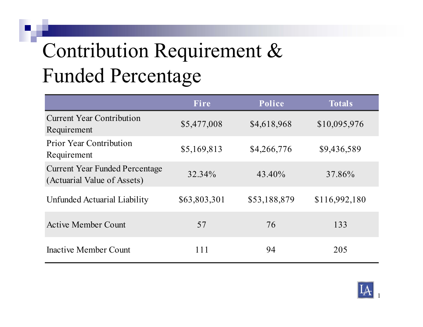## Contribution Requirement & Funded Percentage

|                                                                      | Fire         | Police       | <b>Totals</b> |
|----------------------------------------------------------------------|--------------|--------------|---------------|
| <b>Current Year Contribution</b><br>Requirement                      | \$5,477,008  | \$4,618,968  | \$10,095,976  |
| <b>Prior Year Contribution</b><br>Requirement                        | \$5,169,813  | \$4,266,776  | \$9,436,589   |
| <b>Current Year Funded Percentage</b><br>(Actuarial Value of Assets) | 32.34%       | 43.40%       | 37.86%        |
| Unfunded Actuarial Liability                                         | \$63,803,301 | \$53,188,879 | \$116,992,180 |
| <b>Active Member Count</b>                                           | 57           | 76           | 133           |
| Inactive Member Count                                                | 111          | 94           | 205           |

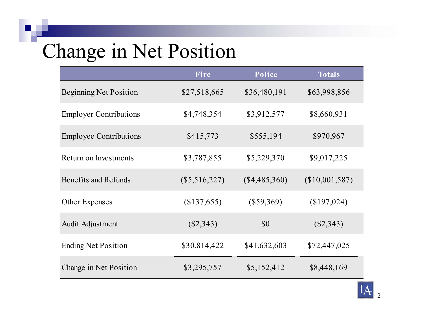### Change in Net Position

|                               | Fire            | Police          | <b>Totals</b>  |
|-------------------------------|-----------------|-----------------|----------------|
| <b>Beginning Net Position</b> | \$27,518,665    | \$36,480,191    | \$63,998,856   |
| <b>Employer Contributions</b> | \$4,748,354     | \$3,912,577     | \$8,660,931    |
| <b>Employee Contributions</b> | \$415,773       | \$555,194       | \$970,967      |
| Return on Investments         | \$3,787,855     | \$5,229,370     | \$9,017,225    |
| Benefits and Refunds          | $(\$5,516,227)$ | $(\$4,485,360)$ | (\$10,001,587) |
| <b>Other Expenses</b>         | (\$137,655)     | $(\$59,369)$    | (\$197,024)    |
| Audit Adjustment              | $(\$2,343)$     | \$0             | $(\$2,343)$    |
| <b>Ending Net Position</b>    | \$30,814,422    | \$41,632,603    | \$72,447,025   |
| Change in Net Position        | \$3,295,757     | \$5,152,412     | \$8,448,169    |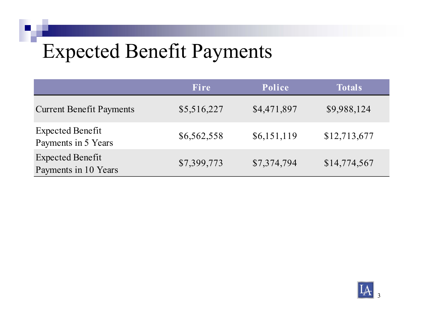#### Expected Benefit Payments

|                                                 | <b>Fire</b> | Police      | <b>Totals</b> |
|-------------------------------------------------|-------------|-------------|---------------|
| <b>Current Benefit Payments</b>                 | \$5,516,227 | \$4,471,897 | \$9,988,124   |
| Expected Benefit<br>Payments in 5 Years         | \$6,562,558 | \$6,151,119 | \$12,713,677  |
| <b>Expected Benefit</b><br>Payments in 10 Years | \$7,399,773 | \$7,374,794 | \$14,774,567  |

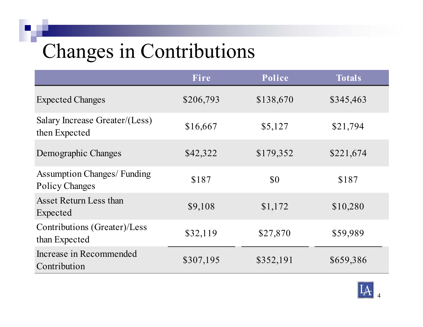#### Changes in Contributions

|                                                             | Fire      | Police    | <b>Totals</b> |
|-------------------------------------------------------------|-----------|-----------|---------------|
| <b>Expected Changes</b>                                     | \$206,793 | \$138,670 | \$345,463     |
| Salary Increase Greater/(Less)<br>then Expected             | \$16,667  | \$5,127   | \$21,794      |
| Demographic Changes                                         | \$42,322  | \$179,352 | \$221,674     |
| <b>Assumption Changes/ Funding</b><br><b>Policy Changes</b> | \$187     | \$0       | \$187         |
| Asset Return Less than<br>Expected                          | \$9,108   | \$1,172   | \$10,280      |
| Contributions (Greater)/Less<br>than Expected               | \$32,119  | \$27,870  | \$59,989      |
| Increase in Recommended<br>Contribution                     | \$307,195 | \$352,191 | \$659,386     |